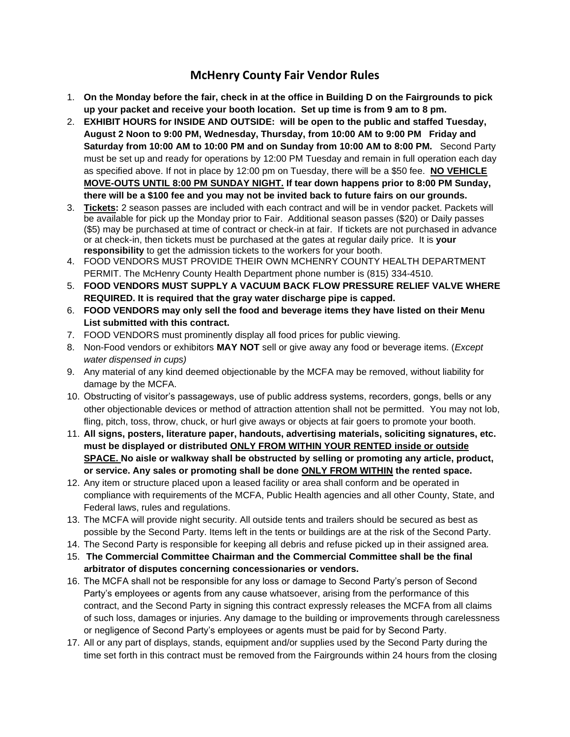## **McHenry County Fair Vendor Rules**

- 1. **On the Monday before the fair, check in at the office in Building D on the Fairgrounds to pick up your packet and receive your booth location. Set up time is from 9 am to 8 pm.**
- 2. **EXHIBIT HOURS for INSIDE AND OUTSIDE: will be open to the public and staffed Tuesday, August 2 Noon to 9:00 PM, Wednesday, Thursday, from 10:00 AM to 9:00 PM Friday and Saturday from 10:00 AM to 10:00 PM and on Sunday from 10:00 AM to 8:00 PM.** Second Party must be set up and ready for operations by 12:00 PM Tuesday and remain in full operation each day as specified above. If not in place by 12:00 pm on Tuesday, there will be a \$50 fee. **NO VEHICLE MOVE-OUTS UNTIL 8:00 PM SUNDAY NIGHT. If tear down happens prior to 8:00 PM Sunday, there will be a \$100 fee and you may not be invited back to future fairs on our grounds.**
- 3. **Tickets:** 2 season passes are included with each contract and will be in vendor packet. Packets will be available for pick up the Monday prior to Fair. Additional season passes (\$20) or Daily passes (\$5) may be purchased at time of contract or check-in at fair. If tickets are not purchased in advance or at check-in, then tickets must be purchased at the gates at regular daily price. It is **your responsibility** to get the admission tickets to the workers for your booth.
- 4. FOOD VENDORS MUST PROVIDE THEIR OWN MCHENRY COUNTY HEALTH DEPARTMENT PERMIT. The McHenry County Health Department phone number is (815) 334-4510.
- 5. **FOOD VENDORS MUST SUPPLY A VACUUM BACK FLOW PRESSURE RELIEF VALVE WHERE REQUIRED. It is required that the gray water discharge pipe is capped.**
- 6. **FOOD VENDORS may only sell the food and beverage items they have listed on their Menu List submitted with this contract.**
- 7. FOOD VENDORS must prominently display all food prices for public viewing.
- 8. Non-Food vendors or exhibitors **MAY NOT** sell or give away any food or beverage items. (*Except water dispensed in cups)*
- 9. Any material of any kind deemed objectionable by the MCFA may be removed, without liability for damage by the MCFA.
- 10. Obstructing of visitor's passageways, use of public address systems, recorders, gongs, bells or any other objectionable devices or method of attraction attention shall not be permitted. You may not lob, fling, pitch, toss, throw, chuck, or hurl give aways or objects at fair goers to promote your booth.
- 11. **All signs, posters, literature paper, handouts, advertising materials, soliciting signatures, etc. must be displayed or distributed ONLY FROM WITHIN YOUR RENTED inside or outside SPACE. No aisle or walkway shall be obstructed by selling or promoting any article, product, or service. Any sales or promoting shall be done ONLY FROM WITHIN the rented space.**
- 12. Any item or structure placed upon a leased facility or area shall conform and be operated in compliance with requirements of the MCFA, Public Health agencies and all other County, State, and Federal laws, rules and regulations.
- 13. The MCFA will provide night security. All outside tents and trailers should be secured as best as possible by the Second Party. Items left in the tents or buildings are at the risk of the Second Party.
- 14. The Second Party is responsible for keeping all debris and refuse picked up in their assigned area.
- 15. **The Commercial Committee Chairman and the Commercial Committee shall be the final arbitrator of disputes concerning concessionaries or vendors.**
- 16. The MCFA shall not be responsible for any loss or damage to Second Party's person of Second Party's employees or agents from any cause whatsoever, arising from the performance of this contract, and the Second Party in signing this contract expressly releases the MCFA from all claims of such loss, damages or injuries. Any damage to the building or improvements through carelessness or negligence of Second Party's employees or agents must be paid for by Second Party.
- 17. All or any part of displays, stands, equipment and/or supplies used by the Second Party during the time set forth in this contract must be removed from the Fairgrounds within 24 hours from the closing